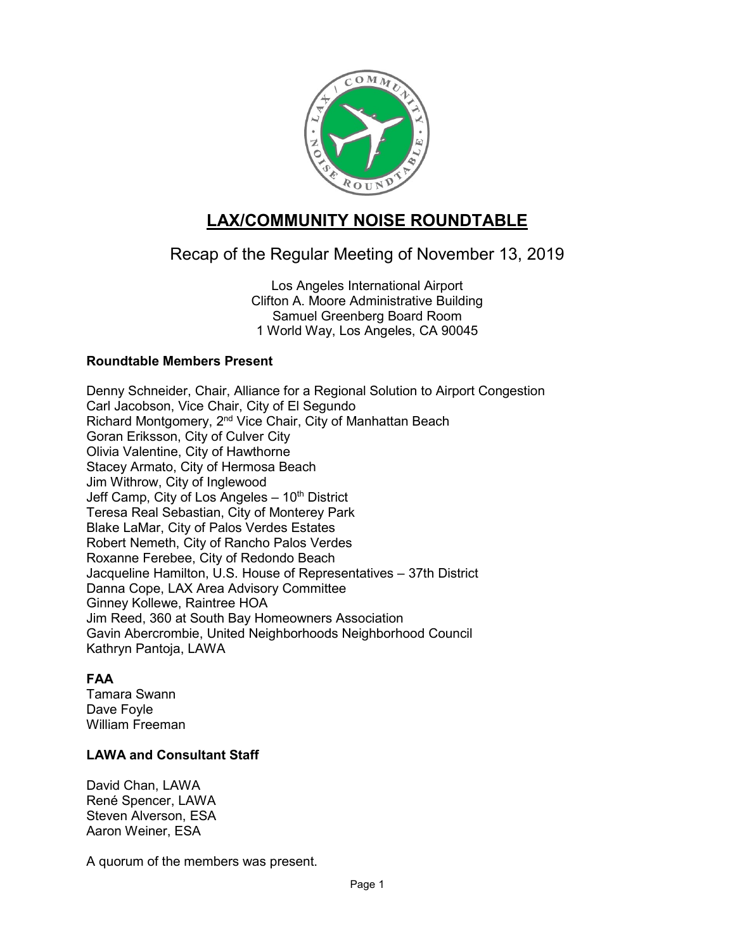

# **LAX/COMMUNITY NOISE ROUNDTABLE**

## Recap of the Regular Meeting of November 13, 2019

Los Angeles International Airport Clifton A. Moore Administrative Building Samuel Greenberg Board Room 1 World Way, Los Angeles, CA 90045

## **Roundtable Members Present**

Denny Schneider, Chair, Alliance for a Regional Solution to Airport Congestion Carl Jacobson, Vice Chair, City of El Segundo Richard Montgomery, 2<sup>nd</sup> Vice Chair, City of Manhattan Beach Goran Eriksson, City of Culver City Olivia Valentine, City of Hawthorne Stacey Armato, City of Hermosa Beach Jim Withrow, City of Inglewood Jeff Camp, City of Los Angeles  $-10<sup>th</sup>$  District Teresa Real Sebastian, City of Monterey Park Blake LaMar, City of Palos Verdes Estates Robert Nemeth, City of Rancho Palos Verdes Roxanne Ferebee, City of Redondo Beach Jacqueline Hamilton, U.S. House of Representatives – 37th District Danna Cope, LAX Area Advisory Committee Ginney Kollewe, Raintree HOA Jim Reed, 360 at South Bay Homeowners Association Gavin Abercrombie, United Neighborhoods Neighborhood Council Kathryn Pantoja, LAWA

## **FAA**

Tamara Swann Dave Foyle William Freeman

## **LAWA and Consultant Staff**

David Chan, LAWA René Spencer, LAWA Steven Alverson, ESA Aaron Weiner, ESA

A quorum of the members was present.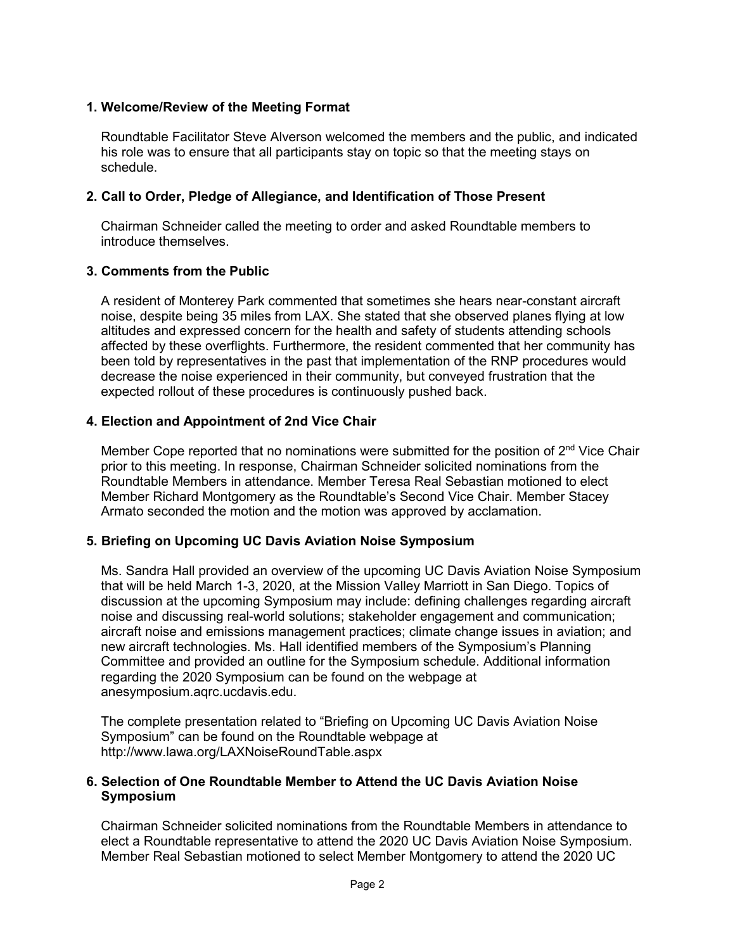#### **1. Welcome/Review of the Meeting Format**

Roundtable Facilitator Steve Alverson welcomed the members and the public, and indicated his role was to ensure that all participants stay on topic so that the meeting stays on schedule.

### **2. Call to Order, Pledge of Allegiance, and Identification of Those Present**

Chairman Schneider called the meeting to order and asked Roundtable members to introduce themselves.

#### **3. Comments from the Public**

A resident of Monterey Park commented that sometimes she hears near-constant aircraft noise, despite being 35 miles from LAX. She stated that she observed planes flying at low altitudes and expressed concern for the health and safety of students attending schools affected by these overflights. Furthermore, the resident commented that her community has been told by representatives in the past that implementation of the RNP procedures would decrease the noise experienced in their community, but conveyed frustration that the expected rollout of these procedures is continuously pushed back.

#### **4. Election and Appointment of 2nd Vice Chair**

Member Cope reported that no nominations were submitted for the position of  $2<sup>nd</sup>$  Vice Chair prior to this meeting. In response, Chairman Schneider solicited nominations from the Roundtable Members in attendance. Member Teresa Real Sebastian motioned to elect Member Richard Montgomery as the Roundtable's Second Vice Chair. Member Stacey Armato seconded the motion and the motion was approved by acclamation.

#### **5. Briefing on Upcoming UC Davis Aviation Noise Symposium**

Ms. Sandra Hall provided an overview of the upcoming UC Davis Aviation Noise Symposium that will be held March 1-3, 2020, at the Mission Valley Marriott in San Diego. Topics of discussion at the upcoming Symposium may include: defining challenges regarding aircraft noise and discussing real-world solutions; stakeholder engagement and communication; aircraft noise and emissions management practices; climate change issues in aviation; and new aircraft technologies. Ms. Hall identified members of the Symposium's Planning Committee and provided an outline for the Symposium schedule. Additional information regarding the 2020 Symposium can be found on the webpage at anesymposium.aqrc.ucdavis.edu.

The complete presentation related to "Briefing on Upcoming UC Davis Aviation Noise Symposium" can be found on the Roundtable webpage at http://www.lawa.org/LAXNoiseRoundTable.aspx

#### **6. Selection of One Roundtable Member to Attend the UC Davis Aviation Noise Symposium**

Chairman Schneider solicited nominations from the Roundtable Members in attendance to elect a Roundtable representative to attend the 2020 UC Davis Aviation Noise Symposium. Member Real Sebastian motioned to select Member Montgomery to attend the 2020 UC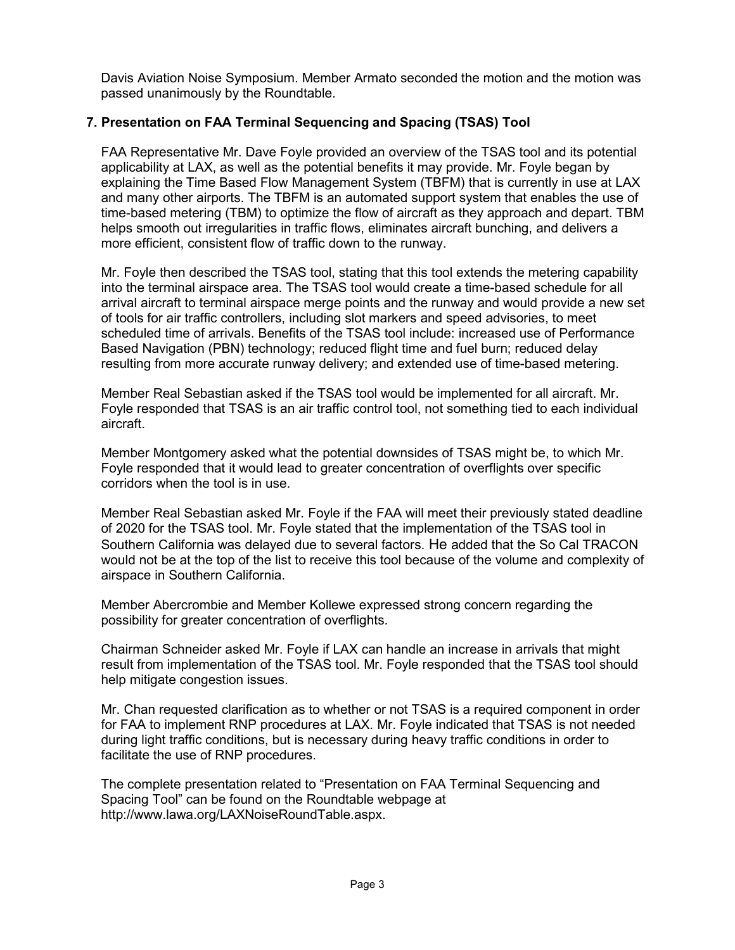Davis Aviation Noise Symposium. Member Armato seconded the motion and the motion was passed unanimously by the Roundtable.

## **7. Presentation on FAA Terminal Sequencing and Spacing (TSAS) Tool**

FAA Representative Mr. Dave Foyle provided an overview of the TSAS tool and its potential applicability at LAX, as well as the potential benefits it may provide. Mr. Foyle began by explaining the Time Based Flow Management System (TBFM) that is currently in use at LAX and many other airports. The TBFM is an automated support system that enables the use of time-based metering (TBM) to optimize the flow of aircraft as they approach and depart. TBM helps smooth out irregularities in traffic flows, eliminates aircraft bunching, and delivers a more efficient, consistent flow of traffic down to the runway.

Mr. Foyle then described the TSAS tool, stating that this tool extends the metering capability into the terminal airspace area. The TSAS tool would create a time-based schedule for all arrival aircraft to terminal airspace merge points and the runway and would provide a new set of tools for air traffic controllers, including slot markers and speed advisories, to meet scheduled time of arrivals. Benefits of the TSAS tool include: increased use of Performance Based Navigation (PBN) technology; reduced flight time and fuel burn; reduced delay resulting from more accurate runway delivery; and extended use of time-based metering.

Member Real Sebastian asked if the TSAS tool would be implemented for all aircraft. Mr. Foyle responded that TSAS is an air traffic control tool, not something tied to each individual aircraft.

Member Montgomery asked what the potential downsides of TSAS might be, to which Mr. Foyle responded that it would lead to greater concentration of overflights over specific corridors when the tool is in use.

Member Real Sebastian asked Mr. Foyle if the FAA will meet their previously stated deadline of 2020 for the TSAS tool. Mr. Foyle stated that the implementation of the TSAS tool in Southern California was delayed due to several factors. He added that the So Cal TRACON would not be at the top of the list to receive this tool because of the volume and complexity of airspace in Southern California.

Member Abercrombie and Member Kollewe expressed strong concern regarding the possibility for greater concentration of overflights.

Chairman Schneider asked Mr. Foyle if LAX can handle an increase in arrivals that might result from implementation of the TSAS tool. Mr. Foyle responded that the TSAS tool should help mitigate congestion issues.

Mr. Chan requested clarification as to whether or not TSAS is a required component in order for FAA to implement RNP procedures at LAX. Mr. Foyle indicated that TSAS is not needed during light traffic conditions, but is necessary during heavy traffic conditions in order to facilitate the use of RNP procedures.

The complete presentation related to "Presentation on FAA Terminal Sequencing and Spacing Tool" can be found on the Roundtable webpage at [http://www.lawa.org/LAXNoiseRoundTable.aspx.](http://www.lawa.org/LAXNoiseRoundTable.aspx)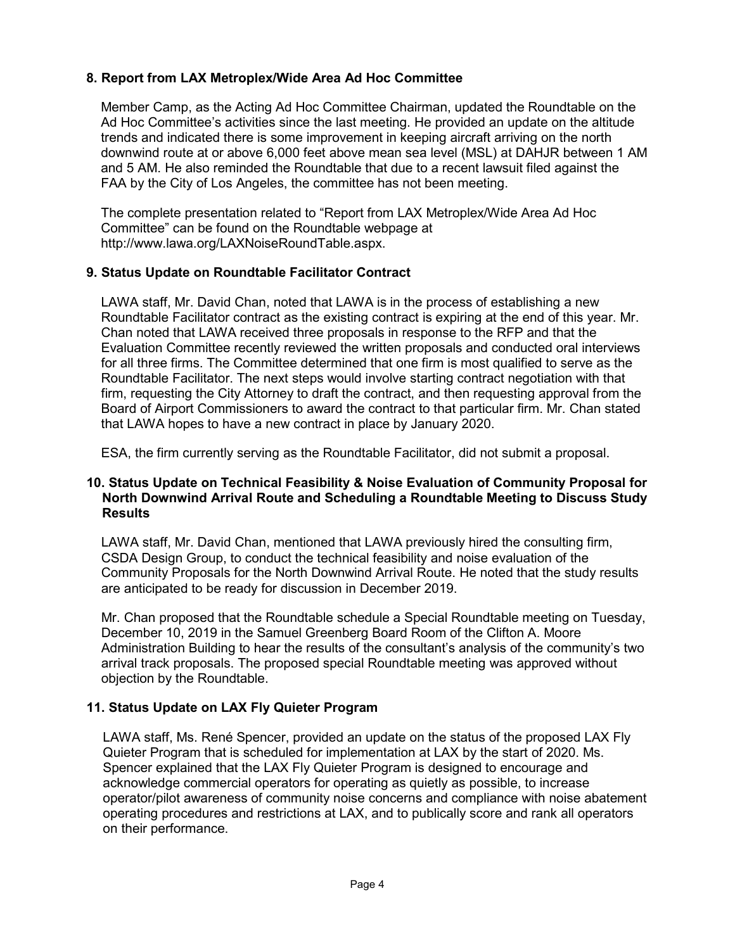## **8. Report from LAX Metroplex/Wide Area Ad Hoc Committee**

Member Camp, as the Acting Ad Hoc Committee Chairman, updated the Roundtable on the Ad Hoc Committee's activities since the last meeting. He provided an update on the altitude trends and indicated there is some improvement in keeping aircraft arriving on the north downwind route at or above 6,000 feet above mean sea level (MSL) at DAHJR between 1 AM and 5 AM. He also reminded the Roundtable that due to a recent lawsuit filed against the FAA by the City of Los Angeles, the committee has not been meeting.

The complete presentation related to "Report from LAX Metroplex/Wide Area Ad Hoc Committee" can be found on the Roundtable webpage at [http://www.lawa.org/LAXNoiseRoundTable.aspx.](http://www.lawa.org/LAXNoiseRoundTable.aspx)

## **9. Status Update on Roundtable Facilitator Contract**

LAWA staff, Mr. David Chan, noted that LAWA is in the process of establishing a new Roundtable Facilitator contract as the existing contract is expiring at the end of this year. Mr. Chan noted that LAWA received three proposals in response to the RFP and that the Evaluation Committee recently reviewed the written proposals and conducted oral interviews for all three firms. The Committee determined that one firm is most qualified to serve as the Roundtable Facilitator. The next steps would involve starting contract negotiation with that firm, requesting the City Attorney to draft the contract, and then requesting approval from the Board of Airport Commissioners to award the contract to that particular firm. Mr. Chan stated that LAWA hopes to have a new contract in place by January 2020.

ESA, the firm currently serving as the Roundtable Facilitator, did not submit a proposal.

#### **10. Status Update on Technical Feasibility & Noise Evaluation of Community Proposal for North Downwind Arrival Route and Scheduling a Roundtable Meeting to Discuss Study Results**

LAWA staff, Mr. David Chan, mentioned that LAWA previously hired the consulting firm, CSDA Design Group, to conduct the technical feasibility and noise evaluation of the Community Proposals for the North Downwind Arrival Route. He noted that the study results are anticipated to be ready for discussion in December 2019.

Mr. Chan proposed that the Roundtable schedule a Special Roundtable meeting on Tuesday, December 10, 2019 in the Samuel Greenberg Board Room of the Clifton A. Moore Administration Building to hear the results of the consultant's analysis of the community's two arrival track proposals. The proposed special Roundtable meeting was approved without objection by the Roundtable.

## **11. Status Update on LAX Fly Quieter Program**

LAWA staff, Ms. René Spencer, provided an update on the status of the proposed LAX Fly Quieter Program that is scheduled for implementation at LAX by the start of 2020. Ms. Spencer explained that the LAX Fly Quieter Program is designed to encourage and acknowledge commercial operators for operating as quietly as possible, to increase operator/pilot awareness of community noise concerns and compliance with noise abatement operating procedures and restrictions at LAX, and to publically score and rank all operators on their performance.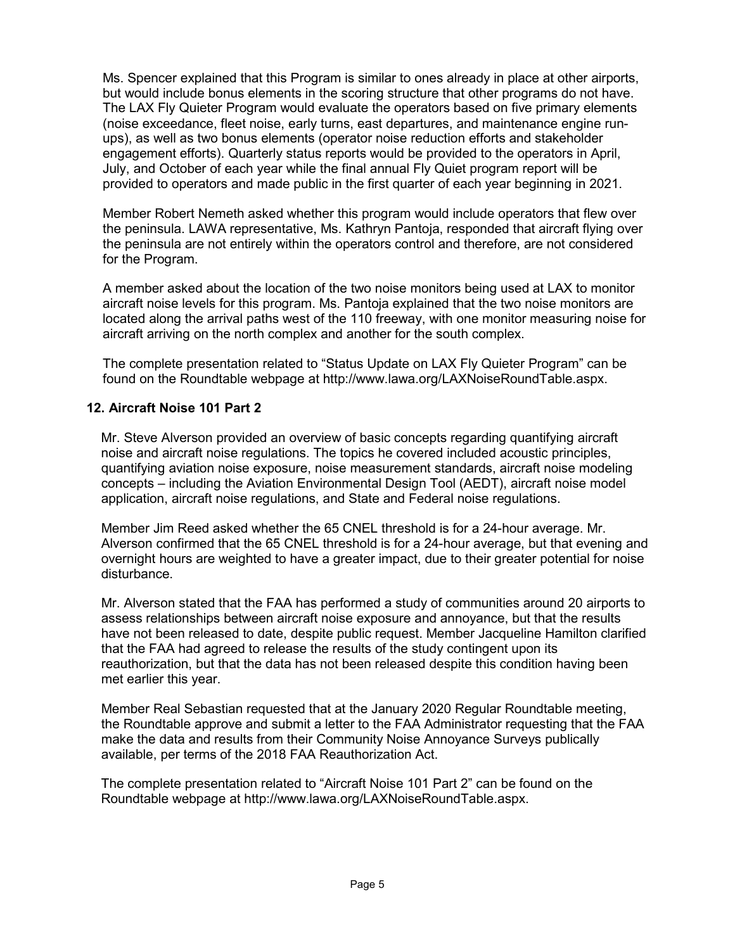Ms. Spencer explained that this Program is similar to ones already in place at other airports, but would include bonus elements in the scoring structure that other programs do not have. The LAX Fly Quieter Program would evaluate the operators based on five primary elements (noise exceedance, fleet noise, early turns, east departures, and maintenance engine runups), as well as two bonus elements (operator noise reduction efforts and stakeholder engagement efforts). Quarterly status reports would be provided to the operators in April, July, and October of each year while the final annual Fly Quiet program report will be provided to operators and made public in the first quarter of each year beginning in 2021.

Member Robert Nemeth asked whether this program would include operators that flew over the peninsula. LAWA representative, Ms. Kathryn Pantoja, responded that aircraft flying over the peninsula are not entirely within the operators control and therefore, are not considered for the Program.

A member asked about the location of the two noise monitors being used at LAX to monitor aircraft noise levels for this program. Ms. Pantoja explained that the two noise monitors are located along the arrival paths west of the 110 freeway, with one monitor measuring noise for aircraft arriving on the north complex and another for the south complex.

The complete presentation related to "Status Update on LAX Fly Quieter Program" can be found on the Roundtable webpage at [http://www.lawa.org/LAXNoiseRoundTable.aspx.](http://www.lawa.org/LAXNoiseRoundTable.aspx)

## **12. Aircraft Noise 101 Part 2**

Mr. Steve Alverson provided an overview of basic concepts regarding quantifying aircraft noise and aircraft noise regulations. The topics he covered included acoustic principles, quantifying aviation noise exposure, noise measurement standards, aircraft noise modeling concepts – including the Aviation Environmental Design Tool (AEDT), aircraft noise model application, aircraft noise regulations, and State and Federal noise regulations.

Member Jim Reed asked whether the 65 CNEL threshold is for a 24-hour average. Mr. Alverson confirmed that the 65 CNEL threshold is for a 24-hour average, but that evening and overnight hours are weighted to have a greater impact, due to their greater potential for noise disturbance.

Mr. Alverson stated that the FAA has performed a study of communities around 20 airports to assess relationships between aircraft noise exposure and annoyance, but that the results have not been released to date, despite public request. Member Jacqueline Hamilton clarified that the FAA had agreed to release the results of the study contingent upon its reauthorization, but that the data has not been released despite this condition having been met earlier this year.

Member Real Sebastian requested that at the January 2020 Regular Roundtable meeting, the Roundtable approve and submit a letter to the FAA Administrator requesting that the FAA make the data and results from their Community Noise Annoyance Surveys publically available, per terms of the 2018 FAA Reauthorization Act.

The complete presentation related to "Aircraft Noise 101 Part 2" can be found on the Roundtable webpage at [http://www.lawa.org/LAXNoiseRoundTable.aspx.](http://www.lawa.org/LAXNoiseRoundTable.aspx)